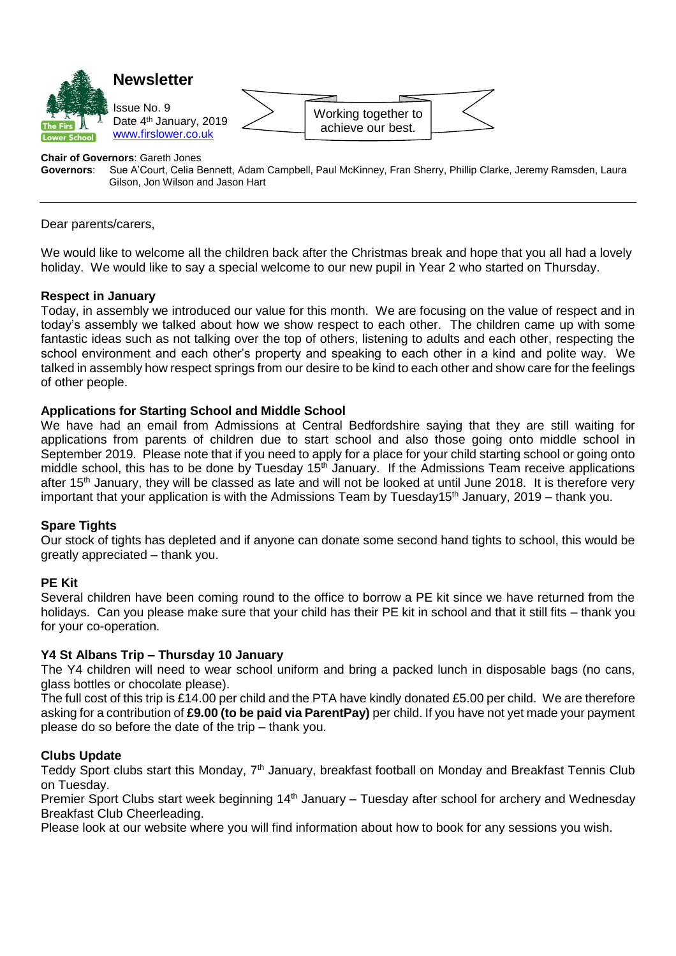

# **Chair of Governors: Gareth Jones<br>
<b>Governors:** Sue A'Court, Celia B

**Governors**: Sue A'Court, Celia Bennett, Adam Campbell, Paul McKinney, Fran Sherry, Phillip Clarke, Jeremy Ramsden, Laura Gilson, Jon Wilson and Jason Hart

Dear parents/carers,

We would like to welcome all the children back after the Christmas break and hope that you all had a lovely holiday. We would like to say a special welcome to our new pupil in Year 2 who started on Thursday.

#### **Respect in January**

Today, in assembly we introduced our value for this month. We are focusing on the value of respect and in today's assembly we talked about how we show respect to each other. The children came up with some fantastic ideas such as not talking over the top of others, listening to adults and each other, respecting the school environment and each other's property and speaking to each other in a kind and polite way. We talked in assembly how respect springs from our desire to be kind to each other and show care for the feelings of other people.

#### **Applications for Starting School and Middle School**

We have had an email from Admissions at Central Bedfordshire saying that they are still waiting for applications from parents of children due to start school and also those going onto middle school in September 2019. Please note that if you need to apply for a place for your child starting school or going onto middle school, this has to be done by Tuesday  $15<sup>th</sup>$  January. If the Admissions Team receive applications after 15<sup>th</sup> January, they will be classed as late and will not be looked at until June 2018. It is therefore very important that your application is with the Admissions Team by Tuesday15<sup>th</sup> January, 2019 – thank you.

### **Spare Tights**

Our stock of tights has depleted and if anyone can donate some second hand tights to school, this would be greatly appreciated – thank you.

#### **PE Kit**

Several children have been coming round to the office to borrow a PE kit since we have returned from the holidays. Can you please make sure that your child has their PE kit in school and that it still fits – thank you for your co-operation.

#### **Y4 St Albans Trip – Thursday 10 January**

The Y4 children will need to wear school uniform and bring a packed lunch in disposable bags (no cans, glass bottles or chocolate please).

The full cost of this trip is £14.00 per child and the PTA have kindly donated £5.00 per child. We are therefore asking for a contribution of **£9.00 (to be paid via ParentPay)** per child. If you have not yet made your payment please do so before the date of the trip – thank you.

#### **Clubs Update**

Teddy Sport clubs start this Monday, 7<sup>th</sup> January, breakfast football on Monday and Breakfast Tennis Club on Tuesday.

Premier Sport Clubs start week beginning 14<sup>th</sup> January – Tuesday after school for archery and Wednesday Breakfast Club Cheerleading.

Please look at our website where you will find information about how to book for any sessions you wish.